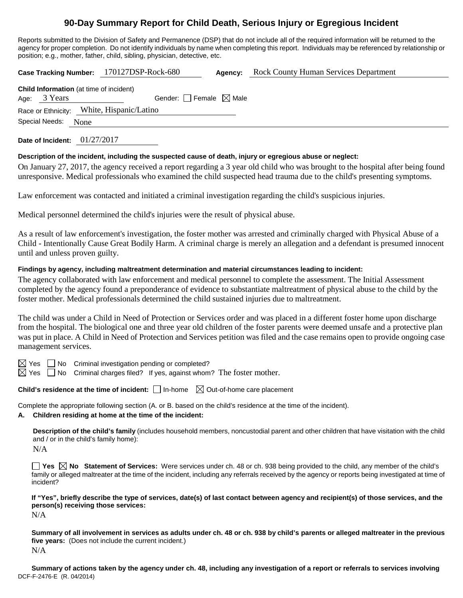# **90-Day Summary Report for Child Death, Serious Injury or Egregious Incident**

Reports submitted to the Division of Safety and Permanence (DSP) that do not include all of the required information will be returned to the agency for proper completion. Do not identify individuals by name when completing this report. Individuals may be referenced by relationship or position; e.g., mother, father, child, sibling, physician, detective, etc.

**Case Tracking Number:** 170127DSP-Rock-680 **Agency:** Rock County Human Services Department

| Age: 3 Years        | <b>Child Information</b> (at time of incident) |  |  |  |  |
|---------------------|------------------------------------------------|--|--|--|--|
|                     | Gender: Female $\boxtimes$ Male                |  |  |  |  |
|                     | Race or Ethnicity: White, Hispanic/Latino      |  |  |  |  |
| Special Needs: None |                                                |  |  |  |  |

**Date of Incident:** 01/27/2017

# **Description of the incident, including the suspected cause of death, injury or egregious abuse or neglect:**

On January 27, 2017, the agency received a report regarding a 3 year old child who was brought to the hospital after being found unresponsive. Medical professionals who examined the child suspected head trauma due to the child's presenting symptoms.

Law enforcement was contacted and initiated a criminal investigation regarding the child's suspicious injuries.

Medical personnel determined the child's injuries were the result of physical abuse.

As a result of law enforcement's investigation, the foster mother was arrested and criminally charged with Physical Abuse of a Child - Intentionally Cause Great Bodily Harm. A criminal charge is merely an allegation and a defendant is presumed innocent until and unless proven guilty.

# **Findings by agency, including maltreatment determination and material circumstances leading to incident:**

The agency collaborated with law enforcement and medical personnel to complete the assessment. The Initial Assessment completed by the agency found a preponderance of evidence to substantiate maltreatment of physical abuse to the child by the foster mother. Medical professionals determined the child sustained injuries due to maltreatment.

The child was under a Child in Need of Protection or Services order and was placed in a different foster home upon discharge from the hospital. The biological one and three year old children of the foster parents were deemed unsafe and a protective plan was put in place. A Child in Need of Protection and Services petition was filed and the case remains open to provide ongoing case management services.

 $\boxtimes$  Yes  $\Box$  No Criminal investigation pending or completed?

 $\boxtimes$  Yes  $\Box$  No Criminal charges filed? If yes, against whom? The foster mother.

**Child's residence at the time of incident:** □ In-home  $\boxtimes$  Out-of-home care placement

Complete the appropriate following section (A. or B. based on the child's residence at the time of the incident).

## **A. Children residing at home at the time of the incident:**

**Description of the child's family** (includes household members, noncustodial parent and other children that have visitation with the child and / or in the child's family home):

N/A

**Yes No Statement of Services:** Were services under ch. 48 or ch. 938 being provided to the child, any member of the child's family or alleged maltreater at the time of the incident, including any referrals received by the agency or reports being investigated at time of incident?

**If "Yes", briefly describe the type of services, date(s) of last contact between agency and recipient(s) of those services, and the person(s) receiving those services:**

N/A

**Summary of all involvement in services as adults under ch. 48 or ch. 938 by child's parents or alleged maltreater in the previous five years:** (Does not include the current incident.) N/A

DCF-F-2476-E (R. 04/2014) **Summary of actions taken by the agency under ch. 48, including any investigation of a report or referrals to services involving**